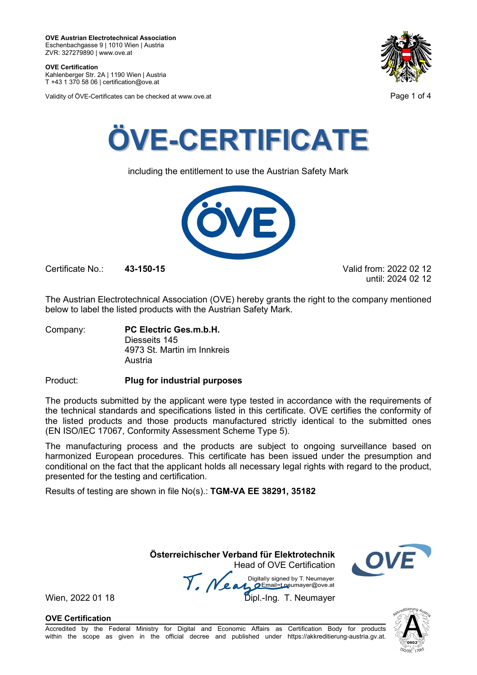**OVE Certification** Kahlenberger Str. 2A | 1190 Wien | Austria

T +43 1 370 58 06 | certification@ove.at

Validity of ÖVE-Certificates can be checked at www.ove.at **Page 1 of 4** Page 1 of 4





including the entitlement to use the Austrian Safety Mark



Certificate No.: **43-150-15** Valid from: 2022 02 12

until: 2024 02 12

The Austrian Electrotechnical Association (OVE) hereby grants the right to the company mentioned below to label the listed products with the Austrian Safety Mark.

Company: **PC Electric Ges.m.b.H.** Diesseits 145 4973 St. Martin im Innkreis Austria

Product: **Plug for industrial purposes**

The products submitted by the applicant were type tested in accordance with the requirements of the technical standards and specifications listed in this certificate. OVE certifies the conformity of the listed products and those products manufactured strictly identical to the submitted ones (EN ISO/IEC 17067, Conformity Assessment Scheme Type 5).

The manufacturing process and the products are subject to ongoing surveillance based on harmonized European procedures. This certificate has been issued under the presumption and conditional on the fact that the applicant holds all necessary legal rights with regard to the product, presented for the testing and certification.

Results of testing are shown in file No(s).: **TGM-VA EE 38291, 35182**

 **Österreichischer Verband für Elektrotechnik** Head of OVE Certification



Wien, 2022 01 18 Mean Mariany Signed by Liveumayer<br>Wien, 2022 01 18 Dipl.-Ing. T. Neumayer

**OVE Certification**

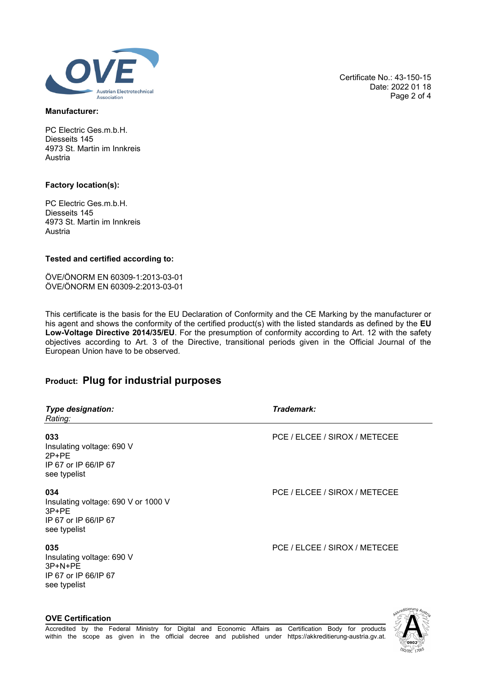

### **Manufacturer:**

PC Electric Ges.m.b.H. Diesseits 145 4973 St. Martin im Innkreis Austria

### **Factory location(s):**

**OVE Certification**

PC Electric Ges.m.b.H. Diesseits 145 4973 St. Martin im Innkreis Austria

## **Tested and certified according to:**

ÖVE/ÖNORM EN 60309-1:2013-03-01 ÖVE/ÖNORM EN 60309-2:2013-03-01

This certificate is the basis for the EU Declaration of Conformity and the CE Marking by the manufacturer or his agent and shows the conformity of the certified product(s) with the listed standards as defined by the **EU Low-Voltage Directive 2014/35/EU**. For the presumption of conformity according to Art. 12 with the safety objectives according to Art. 3 of the Directive, transitional periods given in the Official Journal of the European Union have to be observed.

# **Product: Plug for industrial purposes**

| <b>Type designation:</b><br>Rating:                                                           | Trademark:                    |
|-----------------------------------------------------------------------------------------------|-------------------------------|
| 033<br>Insulating voltage: 690 V<br>$2P+PE$<br>IP 67 or IP 66/IP 67<br>see typelist           | PCE / ELCEE / SIROX / METECEE |
| 034<br>Insulating voltage: 690 V or 1000 V<br>$3P+PE$<br>IP 67 or IP 66/IP 67<br>see typelist | PCE / ELCEE / SIROX / METECEE |
| 035<br>Insulating voltage: 690 V<br>$3P+N+PE$<br>IP 67 or IP 66/IP 67<br>see typelist         | PCE / ELCEE / SIROX / METECEE |

်၀902 **SO/IEC** 

Certificate No.: 43-150-15

Date: 2022 01 18 Page 2 of 4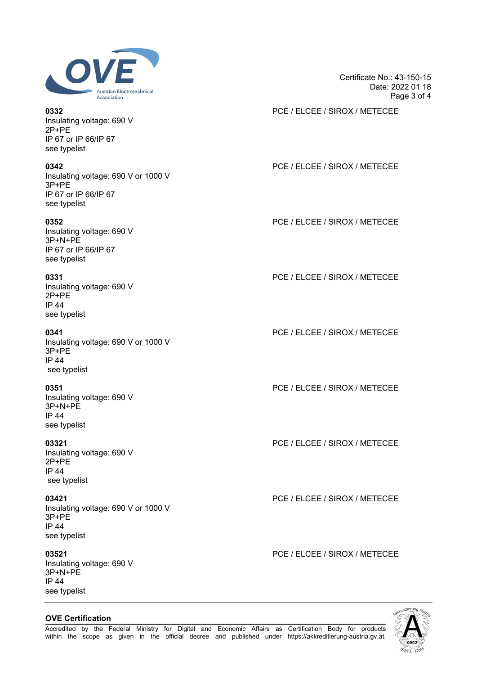

Insulating voltage: 690 V 2P+PE IP 67 or IP 66/IP 67 see typelist

Insulating voltage: 690 V or 1000 V 3P+PE IP 67 or IP 66/IP 67 see typelist

Insulating voltage: 690 V 3P+N+PE IP 67 or IP 66/IP 67 see typelist

Insulating voltage: 690 V 2P+PE IP 44 see typelist

Insulating voltage: 690 V or 1000 V 3P+PE IP 44 see typelist

Insulating voltage: 690 V 3P+N+PE IP 44 see typelist

Insulating voltage: 690 V 2P+PE IP 44 see typelist

Insulating voltage: 690 V or 1000 V 3P+PE IP 44 see typelist

Insulating voltage: 690 V 3P+N+PE IP 44 see typelist

# **OVE Certification**



Certificate No.: 43-150-15 Date: 2022 01 18 Page 3 of 4

**0332** PCE / ELCEE / SIROX / METECEE

# **0342** PCE / ELCEE / SIROX / METECEE

**0352** PCE / ELCEE / SIROX / METECEE

**0331** PCE / ELCEE / SIROX / METECEE

**0341** PCE / ELCEE / SIROX / METECEE

**0351** PCE / ELCEE / SIROX / METECEE

**03321** PCE / ELCEE / SIROX / METECEE

**03421** PCE / ELCEE / SIROX / METECEE

**03521** PCE / ELCEE / SIROX / METECEE